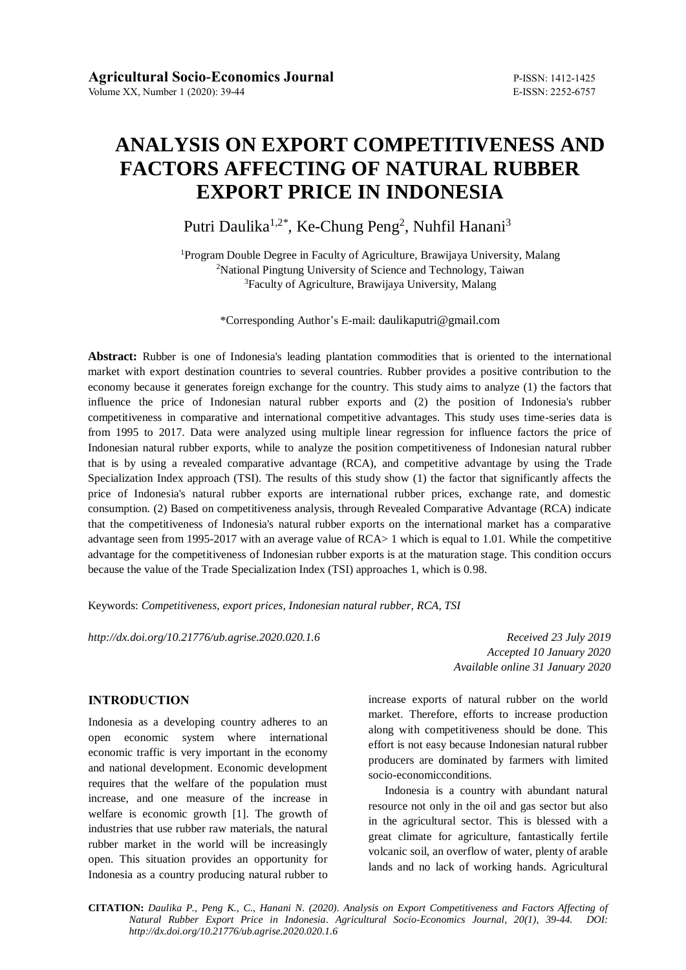# **ANALYSIS ON EXPORT COMPETITIVENESS AND FACTORS AFFECTING OF NATURAL RUBBER EXPORT PRICE IN INDONESIA**

Putri Daulika<sup>1,2\*</sup>, Ke-Chung Peng<sup>2</sup>, Nuhfil Hanani<sup>3</sup>

<sup>1</sup>Program Double Degree in Faculty of Agriculture, Brawijaya University, Malang <sup>2</sup>National Pingtung University of Science and Technology, Taiwan <sup>3</sup>Faculty of Agriculture, Brawijaya University, Malang

\*Corresponding Author's E-mail: daulikaputri@gmail.com

**Abstract:** Rubber is one of Indonesia's leading plantation commodities that is oriented to the international market with export destination countries to several countries. Rubber provides a positive contribution to the economy because it generates foreign exchange for the country. This study aims to analyze (1) the factors that influence the price of Indonesian natural rubber exports and (2) the position of Indonesia's rubber competitiveness in comparative and international competitive advantages. This study uses time-series data is from 1995 to 2017. Data were analyzed using multiple linear regression for influence factors the price of Indonesian natural rubber exports, while to analyze the position competitiveness of Indonesian natural rubber that is by using a revealed comparative advantage (RCA), and competitive advantage by using the Trade Specialization Index approach (TSI). The results of this study show (1) the factor that significantly affects the price of Indonesia's natural rubber exports are international rubber prices, exchange rate, and domestic consumption. (2) Based on competitiveness analysis, through Revealed Comparative Advantage (RCA) indicate that the competitiveness of Indonesia's natural rubber exports on the international market has a comparative advantage seen from 1995-2017 with an average value of RCA> 1 which is equal to 1.01. While the competitive advantage for the competitiveness of Indonesian rubber exports is at the maturation stage. This condition occurs because the value of the Trade Specialization Index (TSI) approaches 1, which is 0.98.

Keywords: *Competitiveness, export prices, Indonesian natural rubber, RCA, TSI*

*http://dx.doi.org/10.21776/ub.agrise.2020.020.1.6 Received 23 July 2019*

*Accepted 10 January 2020 Available online 31 January 2020*

## **INTRODUCTION**

Indonesia as a developing country adheres to an open economic system where international economic traffic is very important in the economy and national development. Economic development requires that the welfare of the population must increase, and one measure of the increase in welfare is economic growth [1]. The growth of industries that use rubber raw materials, the natural rubber market in the world will be increasingly open. This situation provides an opportunity for Indonesia as a country producing natural rubber to

increase exports of natural rubber on the world market. Therefore, efforts to increase production along with competitiveness should be done. This effort is not easy because Indonesian natural rubber producers are dominated by farmers with limited socio-economicconditions.

Indonesia is a country with abundant natural resource not only in the oil and gas sector but also in the agricultural sector. This is blessed with a great climate for agriculture, fantastically fertile volcanic soil, an overflow of water, plenty of arable lands and no lack of working hands. Agricultural

**CITATION:** *Daulika P., Peng K., C., Hanani N. (2020). Analysis on Export Competitiveness and Factors Affecting of Natural Rubber Export Price in Indonesia. Agricultural Socio-Economics Journal, 20(1), 39-44. DOI: http://dx.doi.org/10.21776/ub.agrise.2020.020.1.6*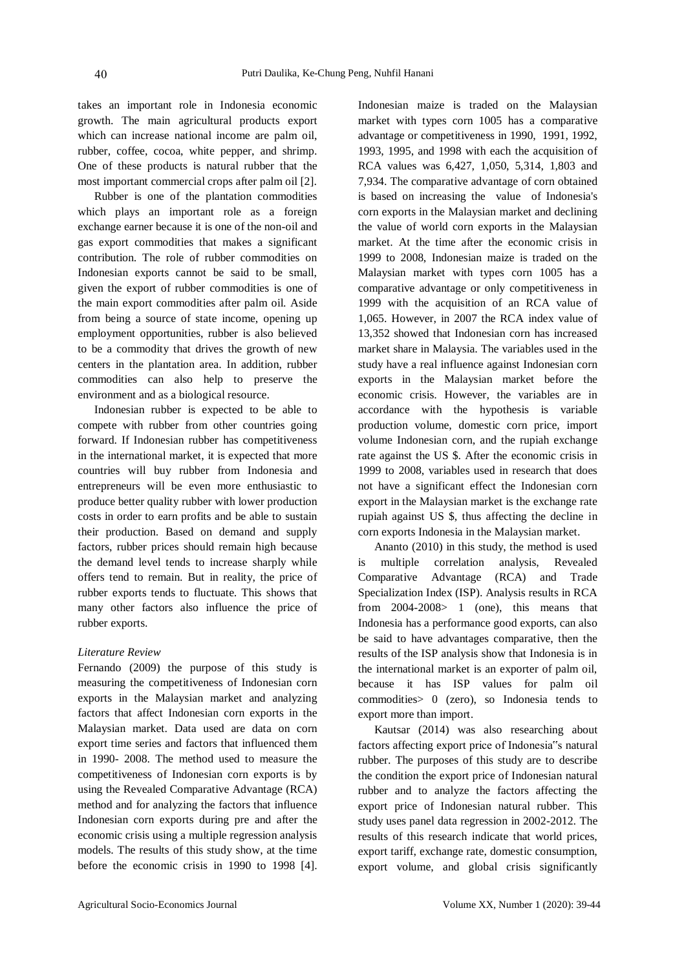takes an important role in Indonesia economic growth. The main agricultural products export which can increase national income are palm oil, rubber, coffee, cocoa, white pepper, and shrimp. One of these products is natural rubber that the most important commercial crops after palm oil [2].

Rubber is one of the plantation commodities which plays an important role as a foreign exchange earner because it is one of the non-oil and gas export commodities that makes a significant contribution. The role of rubber commodities on Indonesian exports cannot be said to be small, given the export of rubber commodities is one of the main export commodities after palm oil. Aside from being a source of state income, opening up employment opportunities, rubber is also believed to be a commodity that drives the growth of new centers in the plantation area. In addition, rubber commodities can also help to preserve the environment and as a biological resource.

Indonesian rubber is expected to be able to compete with rubber from other countries going forward. If Indonesian rubber has competitiveness in the international market, it is expected that more countries will buy rubber from Indonesia and entrepreneurs will be even more enthusiastic to produce better quality rubber with lower production costs in order to earn profits and be able to sustain their production. Based on demand and supply factors, rubber prices should remain high because the demand level tends to increase sharply while offers tend to remain. But in reality, the price of rubber exports tends to fluctuate. This shows that many other factors also influence the price of rubber exports.

### *Literature Review*

Fernando (2009) the purpose of this study is measuring the competitiveness of Indonesian corn exports in the Malaysian market and analyzing factors that affect Indonesian corn exports in the Malaysian market. Data used are data on corn export time series and factors that influenced them in 1990- 2008. The method used to measure the competitiveness of Indonesian corn exports is by using the Revealed Comparative Advantage (RCA) method and for analyzing the factors that influence Indonesian corn exports during pre and after the economic crisis using a multiple regression analysis models. The results of this study show, at the time before the economic crisis in 1990 to 1998 [4].

Indonesian maize is traded on the Malaysian market with types corn 1005 has a comparative advantage or competitiveness in 1990, 1991, 1992, 1993, 1995, and 1998 with each the acquisition of RCA values was 6,427, 1,050, 5,314, 1,803 and 7,934. The comparative advantage of corn obtained is based on increasing the value of Indonesia's corn exports in the Malaysian market and declining the value of world corn exports in the Malaysian market. At the time after the economic crisis in 1999 to 2008, Indonesian maize is traded on the Malaysian market with types corn 1005 has a comparative advantage or only competitiveness in 1999 with the acquisition of an RCA value of 1,065. However, in 2007 the RCA index value of 13,352 showed that Indonesian corn has increased market share in Malaysia. The variables used in the study have a real influence against Indonesian corn exports in the Malaysian market before the economic crisis. However, the variables are in accordance with the hypothesis is variable production volume, domestic corn price, import volume Indonesian corn, and the rupiah exchange rate against the US \$. After the economic crisis in 1999 to 2008, variables used in research that does not have a significant effect the Indonesian corn export in the Malaysian market is the exchange rate rupiah against US \$, thus affecting the decline in corn exports Indonesia in the Malaysian market.

Ananto (2010) in this study, the method is used is multiple correlation analysis, Revealed Comparative Advantage (RCA) and Trade Specialization Index (ISP). Analysis results in RCA from 2004-2008> 1 (one), this means that Indonesia has a performance good exports, can also be said to have advantages comparative, then the results of the ISP analysis show that Indonesia is in the international market is an exporter of palm oil, because it has ISP values for palm oil commodities> 0 (zero), so Indonesia tends to export more than import.

Kautsar (2014) was also researching about factors affecting export price of Indonesia"s natural rubber. The purposes of this study are to describe the condition the export price of Indonesian natural rubber and to analyze the factors affecting the export price of Indonesian natural rubber. This study uses panel data regression in 2002-2012. The results of this research indicate that world prices, export tariff, exchange rate, domestic consumption, export volume, and global crisis significantly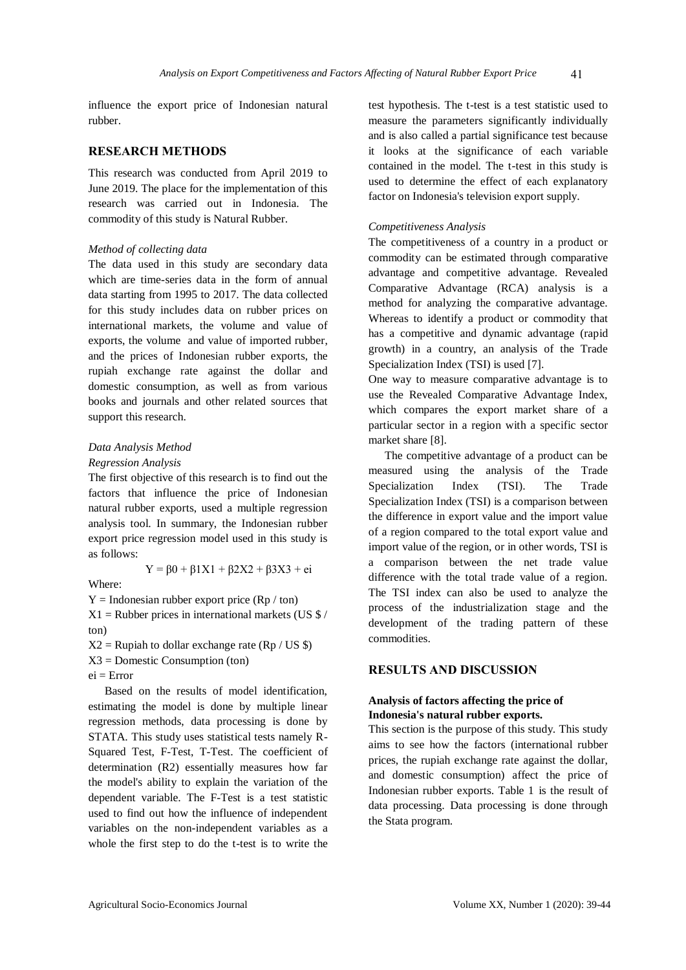41

influence the export price of Indonesian natural rubber.

## **RESEARCH METHODS**

This research was conducted from April 2019 to June 2019. The place for the implementation of this research was carried out in Indonesia. The commodity of this study is Natural Rubber.

### *Method of collecting data*

The data used in this study are secondary data which are time-series data in the form of annual data starting from 1995 to 2017. The data collected for this study includes data on rubber prices on international markets, the volume and value of exports, the volume and value of imported rubber, and the prices of Indonesian rubber exports, the rupiah exchange rate against the dollar and domestic consumption, as well as from various books and journals and other related sources that support this research.

## *Data Analysis Method*

#### *Regression Analysis*

The first objective of this research is to find out the factors that influence the price of Indonesian natural rubber exports, used a multiple regression analysis tool. In summary, the Indonesian rubber export price regression model used in this study is as follows:

Where:

$$
Y=\beta0+\beta1X1+\beta2X2+\beta3X3+ei
$$

 $Y =$ Indonesian rubber export price (Rp / ton)  $X1 =$ Rubber prices in international markets (US \$ /

ton)

 $X2$  = Rupiah to dollar exchange rate (Rp / US \$)

X3 = Domestic Consumption (ton)

 $ei = Error$ 

Based on the results of model identification, estimating the model is done by multiple linear regression methods, data processing is done by STATA. This study uses statistical tests namely R-Squared Test, F-Test, T-Test. The coefficient of determination (R2) essentially measures how far the model's ability to explain the variation of the dependent variable. The F-Test is a test statistic used to find out how the influence of independent variables on the non-independent variables as a whole the first step to do the t-test is to write the

test hypothesis. The t-test is a test statistic used to measure the parameters significantly individually and is also called a partial significance test because it looks at the significance of each variable contained in the model. The t-test in this study is used to determine the effect of each explanatory factor on Indonesia's television export supply.

### *Competitiveness Analysis*

The competitiveness of a country in a product or commodity can be estimated through comparative advantage and competitive advantage. Revealed Comparative Advantage (RCA) analysis is a method for analyzing the comparative advantage. Whereas to identify a product or commodity that has a competitive and dynamic advantage (rapid growth) in a country, an analysis of the Trade Specialization Index (TSI) is used [7].

One way to measure comparative advantage is to use the Revealed Comparative Advantage Index, which compares the export market share of a particular sector in a region with a specific sector market share [8].

The competitive advantage of a product can be measured using the analysis of the Trade Specialization Index (TSI). The Trade Specialization Index (TSI) is a comparison between the difference in export value and the import value of a region compared to the total export value and import value of the region, or in other words, TSI is a comparison between the net trade value difference with the total trade value of a region. The TSI index can also be used to analyze the process of the industrialization stage and the development of the trading pattern of these commodities.

## **RESULTS AND DISCUSSION**

## **Analysis of factors affecting the price of Indonesia's natural rubber exports.**

This section is the purpose of this study. This study aims to see how the factors (international rubber prices, the rupiah exchange rate against the dollar, and domestic consumption) affect the price of Indonesian rubber exports. Table 1 is the result of data processing. Data processing is done through the Stata program.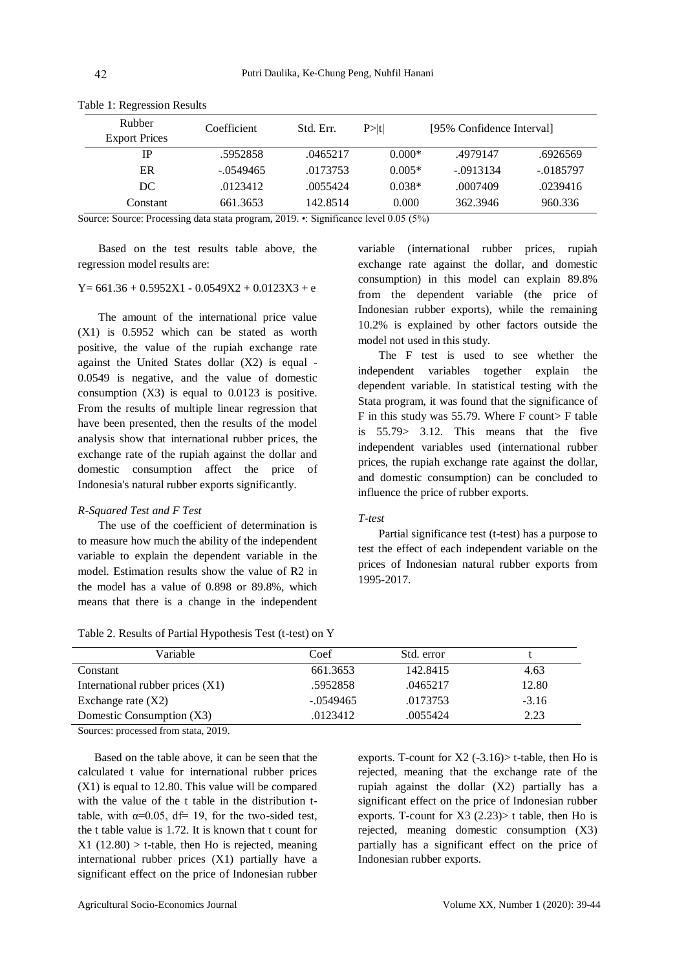| Rubber<br><b>Export Prices</b> | Coefficient | Std. Err. | P >  t   | [95% Confidence Interval] |             |
|--------------------------------|-------------|-----------|----------|---------------------------|-------------|
| IΡ                             | .5952858    | .0465217  | $0.000*$ | .4979147                  | .6926569    |
| ER                             | $-.0549465$ | .0173753  | $0.005*$ | $-0.0913134$              | $-.0185797$ |
| DC.                            | .0123412    | .0055424  | $0.038*$ | .0007409                  | .0239416    |
| Constant                       | 661.3653    | 142.8514  | 0.000    | 362.3946                  | 960.336     |

Table 1: Regression Results

Source: Source: Processing data stata program, 2019. •: Significance level 0.05 (5%)

Based on the test results table above, the regression model results are:

## $Y= 661.36 + 0.5952X1 - 0.0549X2 + 0.0123X3 + e$

The amount of the international price value (X1) is 0.5952 which can be stated as worth positive, the value of the rupiah exchange rate against the United States dollar (X2) is equal - 0.0549 is negative, and the value of domestic consumption  $(X3)$  is equal to 0.0123 is positive. From the results of multiple linear regression that have been presented, then the results of the model analysis show that international rubber prices, the exchange rate of the rupiah against the dollar and domestic consumption affect the price of Indonesia's natural rubber exports significantly.

### *R-Squared Test and F Test*

The use of the coefficient of determination is to measure how much the ability of the independent variable to explain the dependent variable in the model. Estimation results show the value of R2 in the model has a value of 0.898 or 89.8%, which means that there is a change in the independent

variable (international rubber prices, rupiah exchange rate against the dollar, and domestic consumption) in this model can explain 89.8% from the dependent variable (the price of Indonesian rubber exports), while the remaining 10.2% is explained by other factors outside the model not used in this study.

The F test is used to see whether the independent variables together explain the dependent variable. In statistical testing with the Stata program, it was found that the significance of F in this study was 55.79. Where F count> F table is 55.79> 3.12. This means that the five independent variables used (international rubber prices, the rupiah exchange rate against the dollar, and domestic consumption) can be concluded to influence the price of rubber exports.

#### *T-test*

Partial significance test (t-test) has a purpose to test the effect of each independent variable on the prices of Indonesian natural rubber exports from 1995-2017.

| Table 2. Results of Partial Hypothesis Test (t-test) on Y |  |
|-----------------------------------------------------------|--|
|-----------------------------------------------------------|--|

| Variable                           | Coef        | Std. error |         |
|------------------------------------|-------------|------------|---------|
| Constant                           | 661.3653    | 142.8415   | 4.63    |
| International rubber prices $(X1)$ | .5952858    | .0465217   | 12.80   |
| Exchange rate $(X2)$               | $-.0549465$ | .0173753   | $-3.16$ |
| Domestic Consumption (X3)          | .0123412    | .0055424   | 2.23    |

Sources: processed from stata, 2019.

Based on the table above, it can be seen that the calculated t value for international rubber prices (X1) is equal to 12.80. This value will be compared with the value of the t table in the distribution ttable, with  $\alpha=0.05$ , df= 19, for the two-sided test. the t table value is 1.72. It is known that t count for  $X1$  (12.80) > t-table, then Ho is rejected, meaning international rubber prices (X1) partially have a significant effect on the price of Indonesian rubber

exports. T-count for  $X2$  (-3.16) t-table, then Ho is rejected, meaning that the exchange rate of the rupiah against the dollar (X2) partially has a significant effect on the price of Indonesian rubber exports. T-count for  $X3$  (2.23) t table, then Ho is rejected, meaning domestic consumption (X3) partially has a significant effect on the price of Indonesian rubber exports.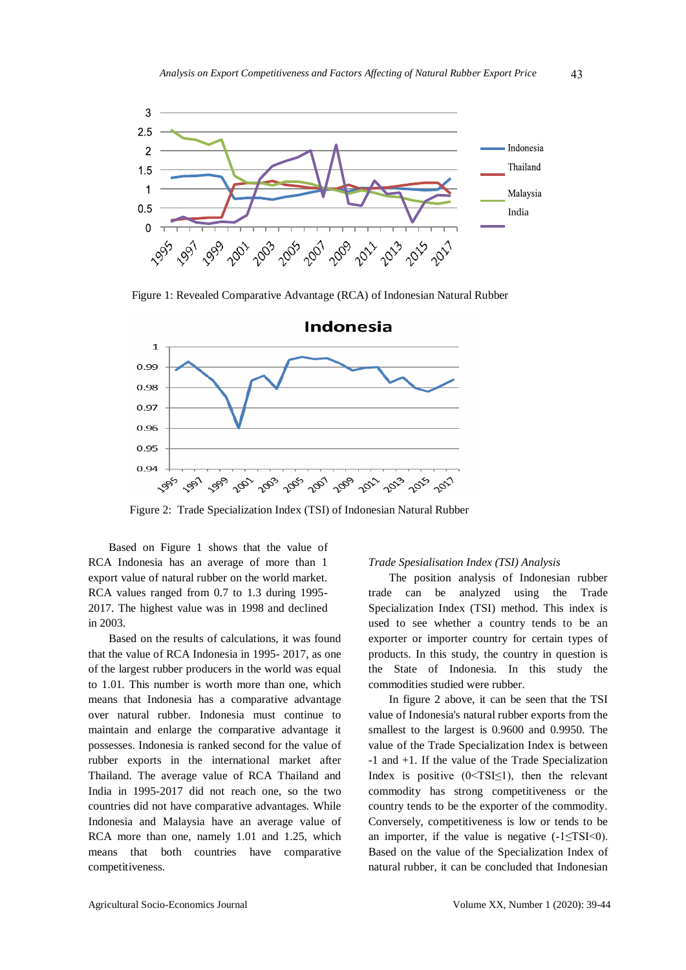

Figure 1: Revealed Comparative Advantage (RCA) of Indonesian Natural Rubber



Figure 2: Trade Specialization Index (TSI) of Indonesian Natural Rubber

Based on Figure 1 shows that the value of RCA Indonesia has an average of more than 1 export value of natural rubber on the world market. RCA values ranged from 0.7 to 1.3 during 1995- 2017. The highest value was in 1998 and declined in 2003.

Based on the results of calculations, it was found that the value of RCA Indonesia in 1995- 2017, as one of the largest rubber producers in the world was equal to 1.01. This number is worth more than one, which means that Indonesia has a comparative advantage over natural rubber. Indonesia must continue to maintain and enlarge the comparative advantage it possesses. Indonesia is ranked second for the value of rubber exports in the international market after Thailand. The average value of RCA Thailand and India in 1995-2017 did not reach one, so the two countries did not have comparative advantages. While Indonesia and Malaysia have an average value of RCA more than one, namely 1.01 and 1.25, which means that both countries have comparative competitiveness.

#### *Trade Spesialisation Index (TSI) Analysis*

The position analysis of Indonesian rubber trade can be analyzed using the Trade Specialization Index (TSI) method. This index is used to see whether a country tends to be an exporter or importer country for certain types of products. In this study, the country in question is the State of Indonesia. In this study the commodities studied were rubber.

In figure 2 above, it can be seen that the TSI value of Indonesia's natural rubber exports from the smallest to the largest is 0.9600 and 0.9950. The value of the Trade Specialization Index is between -1 and +1. If the value of the Trade Specialization Index is positive  $(0 \leq TSI \leq 1)$ , then the relevant commodity has strong competitiveness or the country tends to be the exporter of the commodity. Conversely, competitiveness is low or tends to be an importer, if the value is negative  $(-1 \leq TSI \leq 0)$ . Based on the value of the Specialization Index of natural rubber, it can be concluded that Indonesian